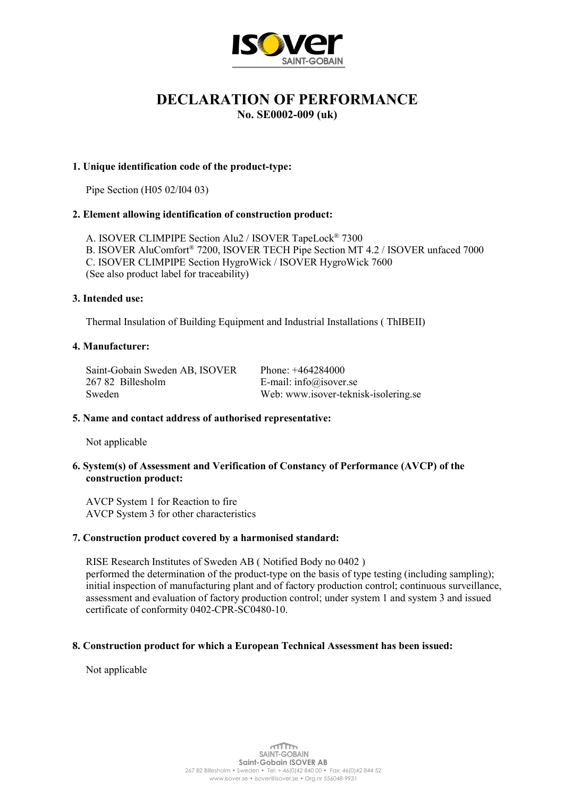

# DECLARATION OF PERFORMANCE

No. SE0002-009 (uk)

# 1. Unique identification code of the product-type:

Pipe Section (H05 02/I04 03)

# 2. Element allowing identification of construction product:

 A. ISOVER CLIMPIPE Section Alu2 / ISOVER TapeLock® 7300 B. ISOVER AluComfort® 7200, ISOVER TECH Pipe Section MT 4.2 / ISOVER unfaced 7000 C. ISOVER CLIMPIPE Section HygroWick / ISOVER HygroWick 7600 (See also product label for traceability)

## 3. Intended use:

Thermal Insulation of Building Equipment and Industrial Installations ( ThIBEII)

## 4. Manufacturer:

| Saint-Gobain Sweden AB, ISOVER | Phone: $+464284000$                  |
|--------------------------------|--------------------------------------|
| 267 82 Billesholm              | E-mail: info@isover.se               |
| Sweden                         | Web: www.isover-teknisk-isolering.se |

## 5. Name and contact address of authorised representative:

Not applicable

## 6. System(s) of Assessment and Verification of Constancy of Performance (AVCP) of the construction product:

 AVCP System 1 for Reaction to fire AVCP System 3 for other characteristics

## 7. Construction product covered by a harmonised standard:

 RISE Research Institutes of Sweden AB ( Notified Body no 0402 ) performed the determination of the product-type on the basis of type testing (including sampling); initial inspection of manufacturing plant and of factory production control; continuous surveillance, assessment and evaluation of factory production control; under system 1 and system 3 and issued certificate of conformity 0402-CPR-SC0480-10.

## 8. Construction product for which a European Technical Assessment has been issued:

Not applicable